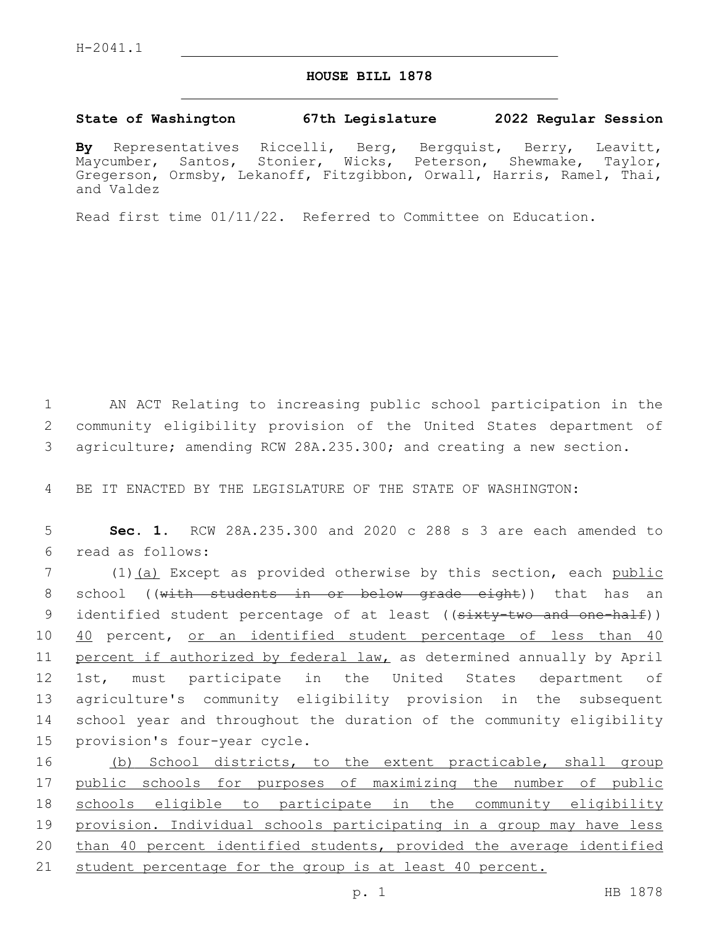## **HOUSE BILL 1878**

## **State of Washington 67th Legislature 2022 Regular Session**

**By** Representatives Riccelli, Berg, Bergquist, Berry, Leavitt, Maycumber, Santos, Stonier, Wicks, Peterson, Shewmake, Taylor, Gregerson, Ormsby, Lekanoff, Fitzgibbon, Orwall, Harris, Ramel, Thai, and Valdez

Read first time 01/11/22. Referred to Committee on Education.

1 AN ACT Relating to increasing public school participation in the 2 community eligibility provision of the United States department of 3 agriculture; amending RCW 28A.235.300; and creating a new section.

4 BE IT ENACTED BY THE LEGISLATURE OF THE STATE OF WASHINGTON:

5 **Sec. 1.** RCW 28A.235.300 and 2020 c 288 s 3 are each amended to read as follows:6

7 (1) (a) Except as provided otherwise by this section, each public 8 school ((with students in or below grade eight)) that has an 9 identified student percentage of at least ((sixty-two and one-half)) 10 40 percent, or an identified student percentage of less than 40 11 percent if authorized by federal law, as determined annually by April 12 1st, must participate in the United States department of 13 agriculture's community eligibility provision in the subsequent 14 school year and throughout the duration of the community eligibility 15 provision's four-year cycle.

16 (b) School districts, to the extent practicable, shall group 17 public schools for purposes of maximizing the number of public 18 schools eligible to participate in the community eligibility 19 provision. Individual schools participating in a group may have less 20 than 40 percent identified students, provided the average identified 21 student percentage for the group is at least 40 percent.